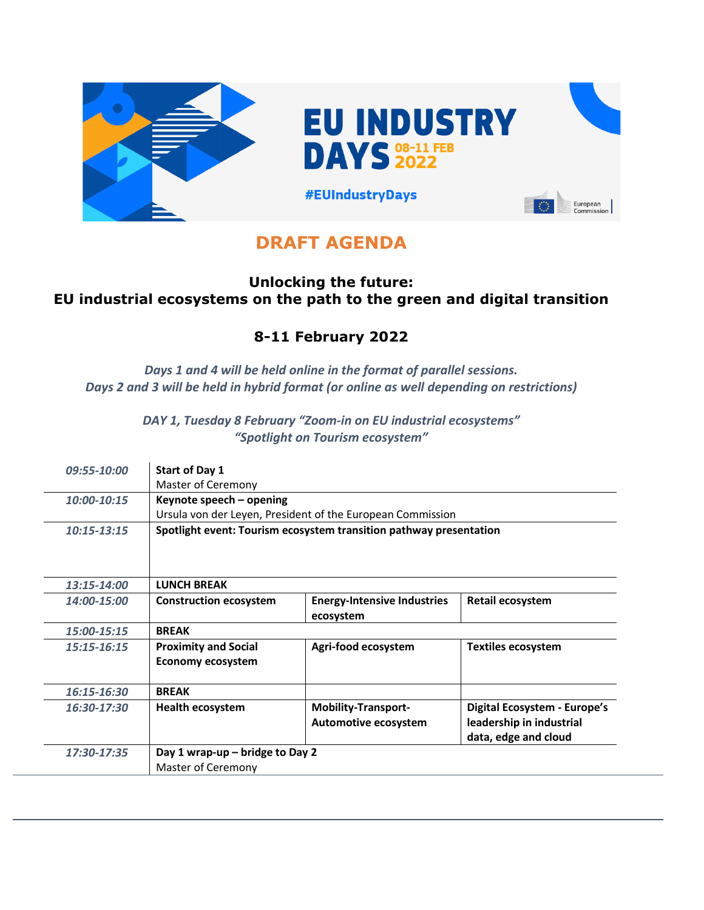

**EU INDUSTRY DAYS 32022** 

European<br>Commission

**#EUIndustryDays** 

# **DRAFT AGENDA**

#### **Unlocking the future: EU industrial ecosystems on the path to the green and digital transition**

## **8-11 February 2022**

*Days 1 and 4 will be held online in the format of parallel sessions. Days 2 and 3 will be held in hybrid format (or online as well depending on restrictions)*

> *DAY 1, Tuesday 8 February "Zoom-in on EU industrial ecosystems" "Spotlight on Tourism ecosystem"*

| 09:55-10:00   | <b>Start of Day 1</b>                                   |                                                                    |                                                                                  |
|---------------|---------------------------------------------------------|--------------------------------------------------------------------|----------------------------------------------------------------------------------|
|               | Master of Ceremony                                      |                                                                    |                                                                                  |
| 10:00-10:15   | Keynote speech – opening                                |                                                                    |                                                                                  |
|               |                                                         | Ursula von der Leyen, President of the European Commission         |                                                                                  |
| $10:15-13:15$ |                                                         | Spotlight event: Tourism ecosystem transition pathway presentation |                                                                                  |
| 13:15-14:00   | <b>LUNCH BREAK</b>                                      |                                                                    |                                                                                  |
| 14:00-15:00   | <b>Construction ecosystem</b>                           | <b>Energy-Intensive Industries</b><br>ecosystem                    | Retail ecosystem                                                                 |
| 15:00-15:15   | <b>BREAK</b>                                            |                                                                    |                                                                                  |
| $15:15-16:15$ | <b>Proximity and Social</b><br><b>Economy ecosystem</b> | Agri-food ecosystem                                                | <b>Textiles ecosystem</b>                                                        |
| 16:15-16:30   | <b>BREAK</b>                                            |                                                                    |                                                                                  |
| 16:30-17:30   | <b>Health ecosystem</b>                                 | <b>Mobility-Transport-</b><br>Automotive ecosystem                 | Digital Ecosystem - Europe's<br>leadership in industrial<br>data, edge and cloud |
| 17:30-17:35   | Day 1 wrap-up – bridge to Day 2<br>Master of Ceremony   |                                                                    |                                                                                  |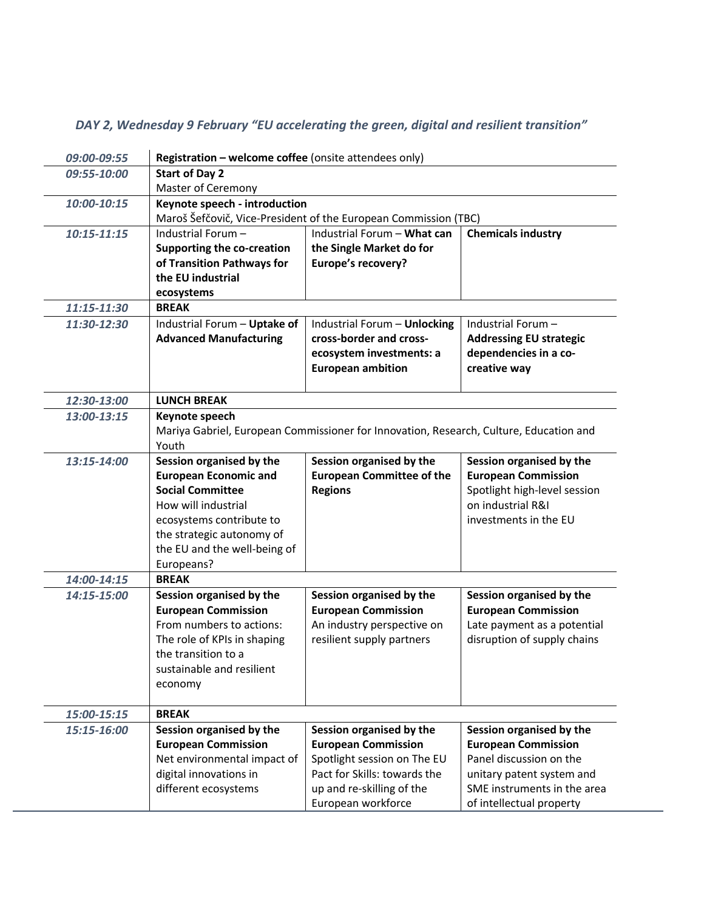| 09:00-09:55     | Registration - welcome coffee (onsite attendees only)                                                                                                                                                             |                                                                                                                                                                          |                                                                                                                                                                           |
|-----------------|-------------------------------------------------------------------------------------------------------------------------------------------------------------------------------------------------------------------|--------------------------------------------------------------------------------------------------------------------------------------------------------------------------|---------------------------------------------------------------------------------------------------------------------------------------------------------------------------|
| 09:55-10:00     | <b>Start of Day 2</b><br>Master of Ceremony                                                                                                                                                                       |                                                                                                                                                                          |                                                                                                                                                                           |
| 10:00-10:15     | Keynote speech - introduction                                                                                                                                                                                     | Maroš Šefčovič, Vice-President of the European Commission (TBC)                                                                                                          |                                                                                                                                                                           |
| $10:15 - 11:15$ | Industrial Forum-<br><b>Supporting the co-creation</b><br>of Transition Pathways for<br>the EU industrial<br>ecosystems                                                                                           | Industrial Forum - What can<br>the Single Market do for<br>Europe's recovery?                                                                                            | <b>Chemicals industry</b>                                                                                                                                                 |
| 11:15-11:30     | <b>BREAK</b>                                                                                                                                                                                                      |                                                                                                                                                                          |                                                                                                                                                                           |
| 11:30-12:30     | Industrial Forum - Uptake of<br><b>Advanced Manufacturing</b>                                                                                                                                                     | Industrial Forum - Unlocking<br>cross-border and cross-<br>ecosystem investments: a<br><b>European ambition</b>                                                          | Industrial Forum-<br><b>Addressing EU strategic</b><br>dependencies in a co-<br>creative way                                                                              |
| 12:30-13:00     | <b>LUNCH BREAK</b>                                                                                                                                                                                                |                                                                                                                                                                          |                                                                                                                                                                           |
| 13:00-13:15     | Keynote speech<br>Youth                                                                                                                                                                                           | Mariya Gabriel, European Commissioner for Innovation, Research, Culture, Education and                                                                                   |                                                                                                                                                                           |
| 13:15-14:00     | Session organised by the<br><b>European Economic and</b><br><b>Social Committee</b><br>How will industrial<br>ecosystems contribute to<br>the strategic autonomy of<br>the EU and the well-being of<br>Europeans? | Session organised by the<br><b>European Committee of the</b><br><b>Regions</b>                                                                                           | Session organised by the<br><b>European Commission</b><br>Spotlight high-level session<br>on industrial R&I<br>investments in the EU                                      |
| 14:00-14:15     | <b>BREAK</b>                                                                                                                                                                                                      |                                                                                                                                                                          |                                                                                                                                                                           |
| 14:15-15:00     | Session organised by the<br><b>European Commission</b><br>From numbers to actions:<br>The role of KPIs in shaping<br>the transition to a<br>sustainable and resilient<br>economy                                  | Session organised by the<br><b>European Commission</b><br>An industry perspective on<br>resilient supply partners                                                        | Session organised by the<br><b>European Commission</b><br>Late payment as a potential<br>disruption of supply chains                                                      |
| 15:00-15:15     | <b>BREAK</b>                                                                                                                                                                                                      |                                                                                                                                                                          |                                                                                                                                                                           |
| 15:15-16:00     | Session organised by the<br><b>European Commission</b><br>Net environmental impact of<br>digital innovations in<br>different ecosystems                                                                           | Session organised by the<br><b>European Commission</b><br>Spotlight session on The EU<br>Pact for Skills: towards the<br>up and re-skilling of the<br>European workforce | Session organised by the<br><b>European Commission</b><br>Panel discussion on the<br>unitary patent system and<br>SME instruments in the area<br>of intellectual property |

### *DAY 2, Wednesday 9 February "EU accelerating the green, digital and resilient transition"*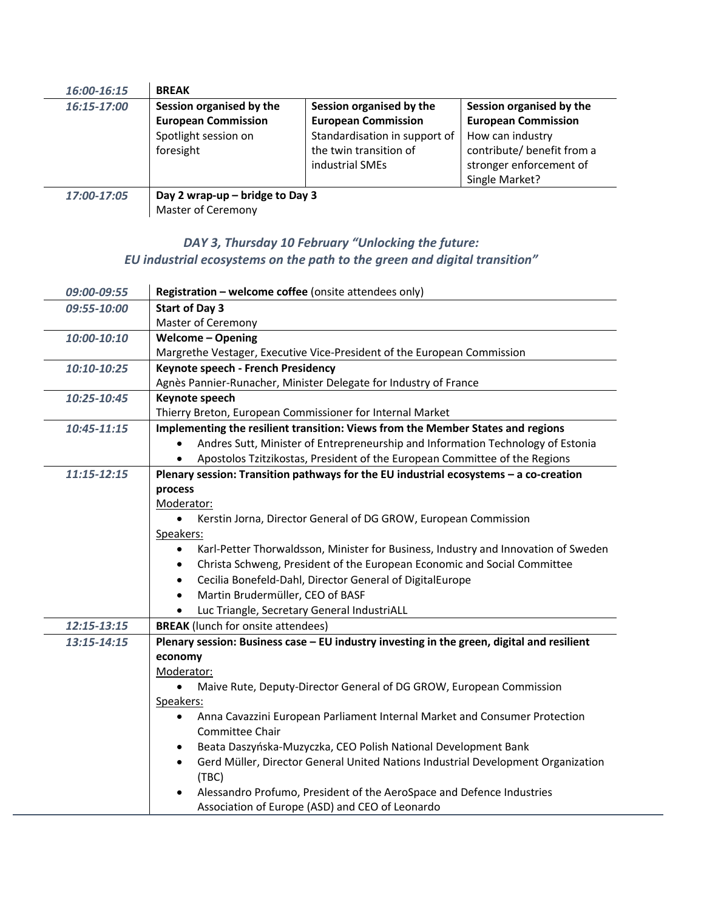| 16:00-16:15 | <b>BREAK</b>                                                                                |                                                                                                                                      |                                                                                                                                                       |
|-------------|---------------------------------------------------------------------------------------------|--------------------------------------------------------------------------------------------------------------------------------------|-------------------------------------------------------------------------------------------------------------------------------------------------------|
| 16:15-17:00 | Session organised by the<br><b>European Commission</b><br>Spotlight session on<br>foresight | Session organised by the<br><b>European Commission</b><br>Standardisation in support of<br>the twin transition of<br>industrial SMEs | Session organised by the<br><b>European Commission</b><br>How can industry<br>contribute/ benefit from a<br>stronger enforcement of<br>Single Market? |
| 17:00-17:05 | Day 2 wrap-up $-$ bridge to Day 3                                                           |                                                                                                                                      |                                                                                                                                                       |

Master of Ceremony

#### *DAY 3, Thursday 10 February "Unlocking the future: EU industrial ecosystems on the path to the green and digital transition"*

| 09:00-09:55     | Registration - welcome coffee (onsite attendees only)                                           |  |  |
|-----------------|-------------------------------------------------------------------------------------------------|--|--|
| 09:55-10:00     | <b>Start of Day 3</b>                                                                           |  |  |
|                 | Master of Ceremony                                                                              |  |  |
| 10:00-10:10     | <b>Welcome - Opening</b>                                                                        |  |  |
|                 | Margrethe Vestager, Executive Vice-President of the European Commission                         |  |  |
| 10:10-10:25     | Keynote speech - French Presidency                                                              |  |  |
|                 | Agnès Pannier-Runacher, Minister Delegate for Industry of France                                |  |  |
| 10:25-10:45     | Keynote speech                                                                                  |  |  |
|                 | Thierry Breton, European Commissioner for Internal Market                                       |  |  |
| 10:45-11:15     | Implementing the resilient transition: Views from the Member States and regions                 |  |  |
|                 | Andres Sutt, Minister of Entrepreneurship and Information Technology of Estonia<br>$\bullet$    |  |  |
|                 | Apostolos Tzitzikostas, President of the European Committee of the Regions<br>$\bullet$         |  |  |
| $11:15 - 12:15$ | Plenary session: Transition pathways for the EU industrial ecosystems - a co-creation           |  |  |
|                 | process                                                                                         |  |  |
|                 | Moderator:                                                                                      |  |  |
|                 | Kerstin Jorna, Director General of DG GROW, European Commission                                 |  |  |
|                 | Speakers:                                                                                       |  |  |
|                 | Karl-Petter Thorwaldsson, Minister for Business, Industry and Innovation of Sweden<br>$\bullet$ |  |  |
|                 | Christa Schweng, President of the European Economic and Social Committee<br>$\bullet$           |  |  |
|                 | Cecilia Bonefeld-Dahl, Director General of DigitalEurope<br>$\bullet$                           |  |  |
|                 | Martin Brudermüller, CEO of BASF<br>$\bullet$                                                   |  |  |
|                 | Luc Triangle, Secretary General IndustriALL                                                     |  |  |
| 12:15-13:15     | <b>BREAK</b> (lunch for onsite attendees)                                                       |  |  |
| 13:15-14:15     | Plenary session: Business case - EU industry investing in the green, digital and resilient      |  |  |
|                 | economy                                                                                         |  |  |
|                 | Moderator:                                                                                      |  |  |
|                 | Maive Rute, Deputy-Director General of DG GROW, European Commission<br>$\bullet$                |  |  |
|                 | Speakers:                                                                                       |  |  |
|                 | Anna Cavazzini European Parliament Internal Market and Consumer Protection<br>$\bullet$         |  |  |
|                 | <b>Committee Chair</b>                                                                          |  |  |
|                 | Beata Daszyńska-Muzyczka, CEO Polish National Development Bank<br>$\bullet$                     |  |  |
|                 | Gerd Müller, Director General United Nations Industrial Development Organization<br>(TBC)       |  |  |
|                 | Alessandro Profumo, President of the AeroSpace and Defence Industries                           |  |  |
|                 | Association of Europe (ASD) and CEO of Leonardo                                                 |  |  |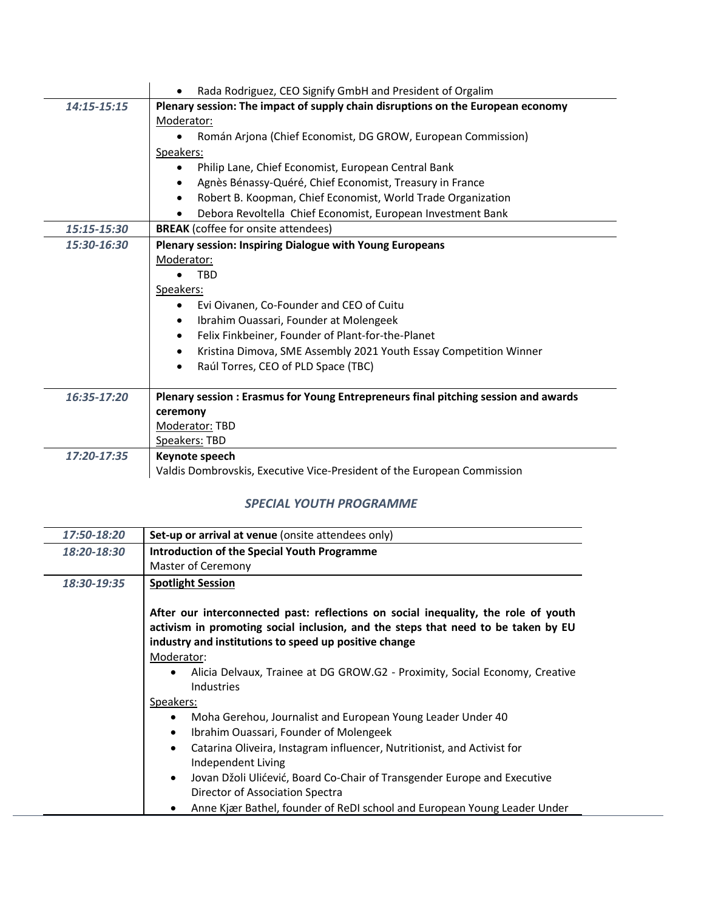|             | Rada Rodriguez, CEO Signify GmbH and President of Orgalim<br>$\bullet$              |  |  |
|-------------|-------------------------------------------------------------------------------------|--|--|
| 14:15-15:15 | Plenary session: The impact of supply chain disruptions on the European economy     |  |  |
|             | Moderator:                                                                          |  |  |
|             | Román Arjona (Chief Economist, DG GROW, European Commission)                        |  |  |
|             | Speakers:                                                                           |  |  |
|             | Philip Lane, Chief Economist, European Central Bank                                 |  |  |
|             | Agnès Bénassy-Quéré, Chief Economist, Treasury in France<br>$\bullet$               |  |  |
|             | Robert B. Koopman, Chief Economist, World Trade Organization<br>$\bullet$           |  |  |
|             | Debora Revoltella Chief Economist, European Investment Bank<br>$\bullet$            |  |  |
| 15:15-15:30 | <b>BREAK</b> (coffee for onsite attendees)                                          |  |  |
| 15:30-16:30 | Plenary session: Inspiring Dialogue with Young Europeans                            |  |  |
|             | Moderator:                                                                          |  |  |
|             | <b>TBD</b>                                                                          |  |  |
|             | Speakers:                                                                           |  |  |
|             | Evi Oivanen, Co-Founder and CEO of Cuitu                                            |  |  |
|             | Ibrahim Ouassari, Founder at Molengeek<br>$\bullet$                                 |  |  |
|             | Felix Finkbeiner, Founder of Plant-for-the-Planet<br>$\bullet$                      |  |  |
|             | Kristina Dimova, SME Assembly 2021 Youth Essay Competition Winner<br>$\bullet$      |  |  |
|             | Raúl Torres, CEO of PLD Space (TBC)<br>$\bullet$                                    |  |  |
|             |                                                                                     |  |  |
| 16:35-17:20 | Plenary session : Erasmus for Young Entrepreneurs final pitching session and awards |  |  |
|             | ceremony                                                                            |  |  |
|             | Moderator: TBD                                                                      |  |  |
|             | Speakers: TBD                                                                       |  |  |
| 17:20-17:35 | Keynote speech                                                                      |  |  |
|             | Valdis Dombrovskis, Executive Vice-President of the European Commission             |  |  |

#### *SPECIAL YOUTH PROGRAMME*

| 17:50-18:20 | Set-up or arrival at venue (onsite attendees only)                                                                                                                                                                                                                                                                                                                                                                                                                                                                                                                                                                                                                                                                                    |  |  |
|-------------|---------------------------------------------------------------------------------------------------------------------------------------------------------------------------------------------------------------------------------------------------------------------------------------------------------------------------------------------------------------------------------------------------------------------------------------------------------------------------------------------------------------------------------------------------------------------------------------------------------------------------------------------------------------------------------------------------------------------------------------|--|--|
| 18:20-18:30 | <b>Introduction of the Special Youth Programme</b>                                                                                                                                                                                                                                                                                                                                                                                                                                                                                                                                                                                                                                                                                    |  |  |
|             | Master of Ceremony                                                                                                                                                                                                                                                                                                                                                                                                                                                                                                                                                                                                                                                                                                                    |  |  |
| 18:30-19:35 | <b>Spotlight Session</b>                                                                                                                                                                                                                                                                                                                                                                                                                                                                                                                                                                                                                                                                                                              |  |  |
|             | After our interconnected past: reflections on social inequality, the role of youth<br>activism in promoting social inclusion, and the steps that need to be taken by EU<br>industry and institutions to speed up positive change<br>Moderator:<br>Alicia Delvaux, Trainee at DG GROW.G2 - Proximity, Social Economy, Creative<br>$\bullet$<br>Industries<br>Speakers:<br>Moha Gerehou, Journalist and European Young Leader Under 40<br>Ibrahim Ouassari, Founder of Molengeek<br>$\bullet$<br>Catarina Oliveira, Instagram influencer, Nutritionist, and Activist for<br>$\bullet$<br>Independent Living<br>Jovan Džoli Ulićević, Board Co-Chair of Transgender Europe and Executive<br>$\bullet$<br>Director of Association Spectra |  |  |
|             | Anne Kjær Bathel, founder of ReDI school and European Young Leader Under                                                                                                                                                                                                                                                                                                                                                                                                                                                                                                                                                                                                                                                              |  |  |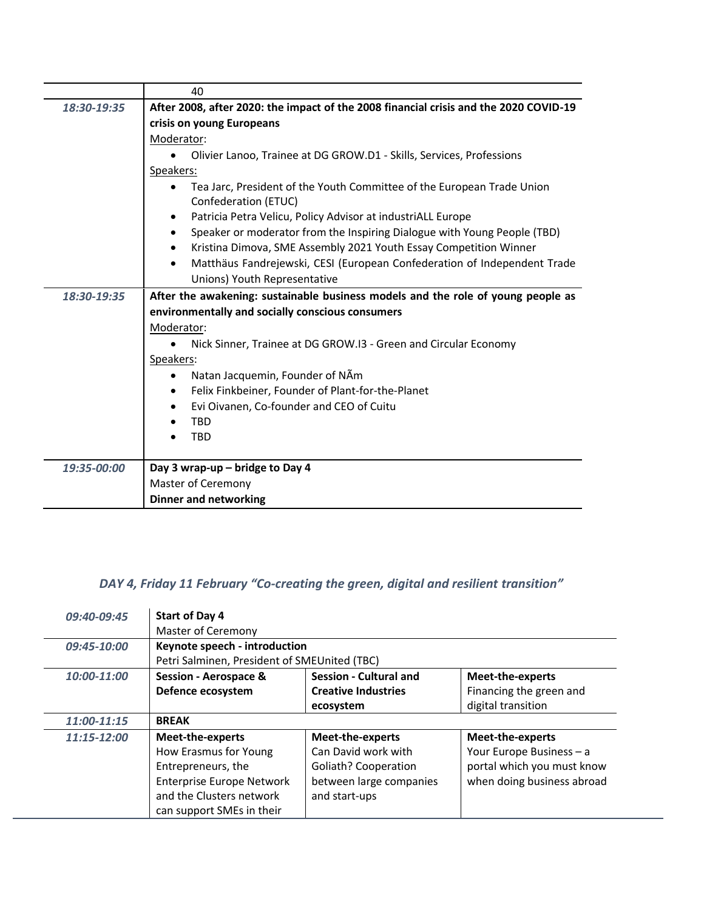|             | 40                                                                                    |  |  |
|-------------|---------------------------------------------------------------------------------------|--|--|
| 18:30-19:35 | After 2008, after 2020: the impact of the 2008 financial crisis and the 2020 COVID-19 |  |  |
|             | crisis on young Europeans<br>Moderator:                                               |  |  |
|             |                                                                                       |  |  |
|             | Olivier Lanoo, Trainee at DG GROW.D1 - Skills, Services, Professions                  |  |  |
|             | Speakers:                                                                             |  |  |
|             | Tea Jarc, President of the Youth Committee of the European Trade Union                |  |  |
|             | Confederation (ETUC)                                                                  |  |  |
|             | Patricia Petra Velicu, Policy Advisor at industriALL Europe<br>٠                      |  |  |
|             | Speaker or moderator from the Inspiring Dialogue with Young People (TBD)<br>٠         |  |  |
|             | Kristina Dimova, SME Assembly 2021 Youth Essay Competition Winner<br>$\bullet$        |  |  |
|             | Matthäus Fandrejewski, CESI (European Confederation of Independent Trade<br>$\bullet$ |  |  |
|             | Unions) Youth Representative                                                          |  |  |
| 18:30-19:35 | After the awakening: sustainable business models and the role of young people as      |  |  |
|             | environmentally and socially conscious consumers                                      |  |  |
|             | Moderator:                                                                            |  |  |
|             | Nick Sinner, Trainee at DG GROW.I3 - Green and Circular Economy                       |  |  |
|             | Speakers:                                                                             |  |  |
|             | Natan Jacquemin, Founder of NAm                                                       |  |  |
|             | Felix Finkbeiner, Founder of Plant-for-the-Planet                                     |  |  |
|             | Evi Oivanen, Co-founder and CEO of Cuitu                                              |  |  |
|             | TBD                                                                                   |  |  |
|             | <b>TBD</b>                                                                            |  |  |
|             |                                                                                       |  |  |
| 19:35-00:00 | Day 3 wrap-up - bridge to Day 4                                                       |  |  |
|             | Master of Ceremony                                                                    |  |  |
|             | <b>Dinner and networking</b>                                                          |  |  |

### *DAY 4, Friday 11 February "Co-creating the green, digital and resilient transition"*

| 09:40-09:45 | Start of Day 4                               |                               |                            |
|-------------|----------------------------------------------|-------------------------------|----------------------------|
|             | <b>Master of Ceremony</b>                    |                               |                            |
| 09:45-10:00 | Keynote speech - introduction                |                               |                            |
|             | Petri Salminen, President of SMEUnited (TBC) |                               |                            |
| 10:00-11:00 | <b>Session - Aerospace &amp;</b>             | <b>Session - Cultural and</b> | <b>Meet-the-experts</b>    |
|             | Defence ecosystem                            | <b>Creative Industries</b>    | Financing the green and    |
|             |                                              | ecosystem                     | digital transition         |
| 11:00-11:15 | <b>BREAK</b>                                 |                               |                            |
| 11:15-12:00 | Meet-the-experts                             | Meet-the-experts              | Meet-the-experts           |
|             | How Erasmus for Young                        | Can David work with           | Your Europe Business - a   |
|             | Entrepreneurs, the                           | Goliath? Cooperation          | portal which you must know |
|             | <b>Enterprise Europe Network</b>             | between large companies       | when doing business abroad |
|             | and the Clusters network                     | and start-ups                 |                            |
|             | can support SMEs in their                    |                               |                            |